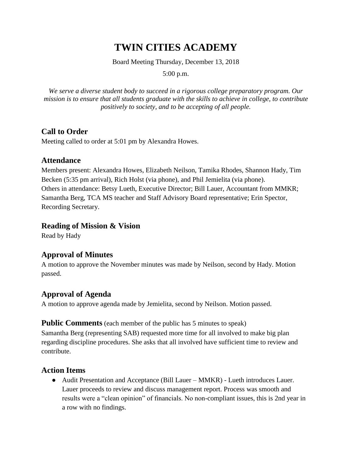# **TWIN CITIES ACADEMY**

Board Meeting Thursday, December 13, 2018

5:00 p.m.

*We serve a diverse student body to succeed in a rigorous college preparatory program. Our mission is to ensure that all students graduate with the skills to achieve in college, to contribute positively to society, and to be accepting of all people.*

# **Call to Order**

Meeting called to order at 5:01 pm by Alexandra Howes.

# **Attendance**

Members present: Alexandra Howes, Elizabeth Neilson, Tamika Rhodes, Shannon Hady, Tim Becken (5:35 pm arrival), Rich Holst (via phone), and Phil Jemielita (via phone). Others in attendance: Betsy Lueth, Executive Director; Bill Lauer, Accountant from MMKR; Samantha Berg, TCA MS teacher and Staff Advisory Board representative; Erin Spector, Recording Secretary.

#### **Reading of Mission & Vision**

Read by Hady

# **Approval of Minutes**

A motion to approve the November minutes was made by Neilson, second by Hady. Motion passed.

# **Approval of Agenda**

A motion to approve agenda made by Jemielita, second by Neilson. Motion passed.

#### **Public Comments** (each member of the public has 5 minutes to speak)

Samantha Berg (representing SAB) requested more time for all involved to make big plan regarding discipline procedures. She asks that all involved have sufficient time to review and contribute.

# **Action Items**

● Audit Presentation and Acceptance (Bill Lauer – MMKR) - Lueth introduces Lauer. Lauer proceeds to review and discuss management report. Process was smooth and results were a "clean opinion" of financials. No non-compliant issues, this is 2nd year in a row with no findings.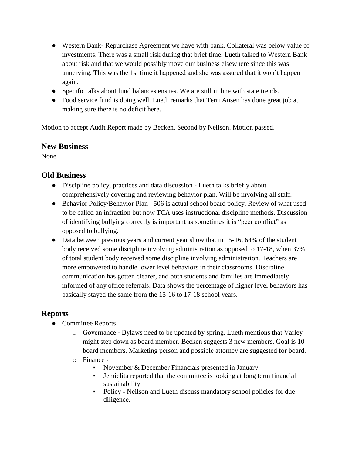- Western Bank- Repurchase Agreement we have with bank. Collateral was below value of investments. There was a small risk during that brief time. Lueth talked to Western Bank about risk and that we would possibly move our business elsewhere since this was unnerving. This was the 1st time it happened and she was assured that it won't happen again.
- Specific talks about fund balances ensues. We are still in line with state trends.
- Food service fund is doing well. Lueth remarks that Terri Ausen has done great job at making sure there is no deficit here.

Motion to accept Audit Report made by Becken. Second by Neilson. Motion passed.

#### **New Business**

None

# **Old Business**

- Discipline policy, practices and data discussion Lueth talks briefly about comprehensively covering and reviewing behavior plan. Will be involving all staff.
- Behavior Policy/Behavior Plan 506 is actual school board policy. Review of what used to be called an infraction but now TCA uses instructional discipline methods. Discussion of identifying bullying correctly is important as sometimes it is "peer conflict" as opposed to bullying.
- Data between previous years and current year show that in 15-16, 64% of the student body received some discipline involving administration as opposed to 17-18, when 37% of total student body received some discipline involving administration. Teachers are more empowered to handle lower level behaviors in their classrooms. Discipline communication has gotten clearer, and both students and families are immediately informed of any office referrals. Data shows the percentage of higher level behaviors has basically stayed the same from the 15-16 to 17-18 school years.

# **Reports**

- Committee Reports
	- o Governance Bylaws need to be updated by spring. Lueth mentions that Varley might step down as board member. Becken suggests 3 new members. Goal is 10 board members. Marketing person and possible attorney are suggested for board.
	- o Finance
		- November & December Financials presented in January
		- Jemielita reported that the committee is looking at long term financial sustainability
		- Policy Neilson and Lueth discuss mandatory school policies for due diligence.